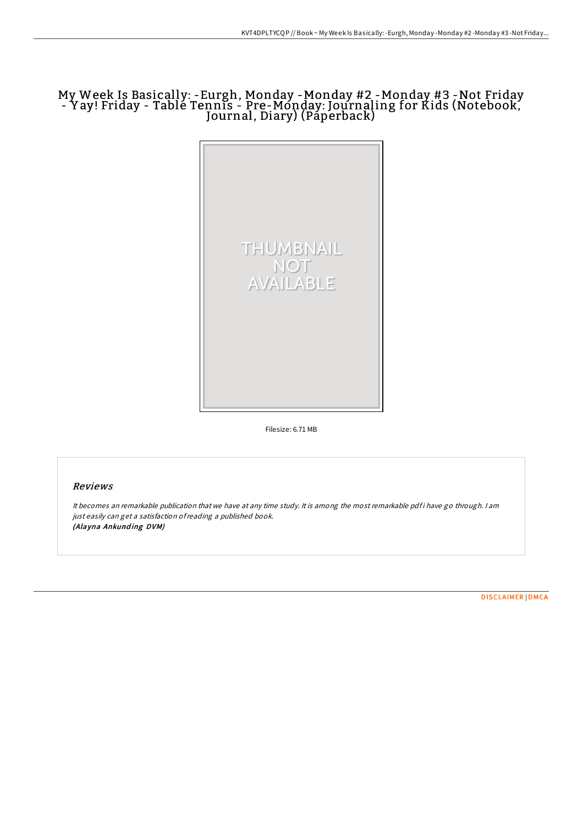## My Week Is Basically: -Eurgh, Monday -Monday #2 -Monday #3 -Not Friday - Y ay! Friday - Table Tennis - Pre-Monday: Journaling for Kids (Notebook, Journal, Diary) (Paperback)



Filesize: 6.71 MB

## Reviews

It becomes an remarkable publication that we have at any time study. It is among the most remarkable pdf i have go through. I am just easily can get <sup>a</sup> satisfaction ofreading <sup>a</sup> published book. (Alayna Ankunding DVM)

[DISCLAIMER](http://almighty24.tech/disclaimer.html) | [DMCA](http://almighty24.tech/dmca.html)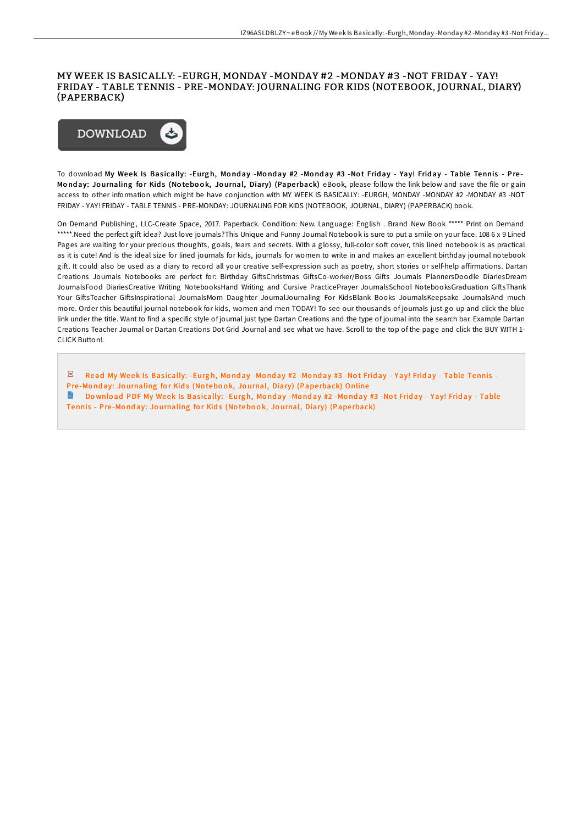## MY WEEK IS BASICALLY: -EURGH, MONDAY -MONDAY #2 -MONDAY #3 -NOT FRIDAY - YAY! FRIDAY - TABLE TENNIS - PRE-MONDAY: JOURNALING FOR KIDS (NOTEBOOK, JOURNAL, DIARY) (PAPERBACK)



To download My Week Is Basically: -Eurgh, Monday -Monday #2 -Monday #3 -Not Friday - Yay! Friday - Table Tennis - Pre-Monday: Journaling for Kids (Notebook, Journal, Diary) (Paperback) eBook, please follow the link below and save the file or gain access to other information which might be have conjunction with MY WEEK IS BASICALLY: -EURGH, MONDAY -MONDAY #2 -MONDAY #3 -NOT FRIDAY - YAY! FRIDAY - TABLE TENNIS - PRE-MONDAY: JOURNALING FOR KIDS (NOTEBOOK, JOURNAL, DIARY) (PAPERBACK) book.

On Demand Publishing, LLC-Create Space, 2017. Paperback. Condition: New. Language: English . Brand New Book \*\*\*\*\* Print on Demand \*\*\*\*\*.Need the perfect gift idea? Just love journals?This Unique and Funny Journal Notebook is sure to put a smile on your face. 108 6 x 9 Lined Pages are waiting for your precious thoughts, goals, fears and secrets. With a glossy, full-color soft cover, this lined notebook is as practical as it is cute! And is the ideal size for lined journals for kids, journals for women to write in and makes an excellent birthday journal notebook gift. It could also be used as a diary to record all your creative self-expression such as poetry, short stories or self-help affirmations. Dartan Creations Journals Notebooks are perfect for: Birthday GiftsChristmas GiftsCo-worker/Boss Gifts Journals PlannersDoodle DiariesDream JournalsFood DiariesCreative Writing NotebooksHand Writing and Cursive PracticePrayer JournalsSchool NotebooksGraduation GiftsThank Your GiftsTeacher GiftsInspirational JournalsMom Daughter JournalJournaling For KidsBlank Books JournalsKeepsake JournalsAnd much more. Order this beautiful journal notebook for kids, women and men TODAY! To see our thousands of journals just go up and click the blue link under the title. Want to find a specific style of journal just type Dartan Creations and the type of journal into the search bar. Example Dartan Creations Teacher Journal or Dartan Creations Dot Grid Journal and see what we have. Scroll to the top of the page and click the BUY WITH 1- CLICK Button!.

 $\mathbb Z$  Read My Week Is Basically: -Eurgh, Monday -Monday #2 -Monday #3 -Not Friday - Yay! Friday - Table Tennis Pre-Monday: Jo[urnaling](http://almighty24.tech/my-week-is-basically-eurgh-monday-monday-2-monda-42.html) for Kids (Notebook, Journal, Diary) (Paperback) Online **Download PDF My Week Is Basically: -Eurgh, Monday -Monday #2 -Monday #3 -Not Friday - Yay! Friday - Table** Tennis - Pre-Monday: Jo[urnaling](http://almighty24.tech/my-week-is-basically-eurgh-monday-monday-2-monda-42.html) for Kids (Notebook, Journal, Diary) (Paperback)